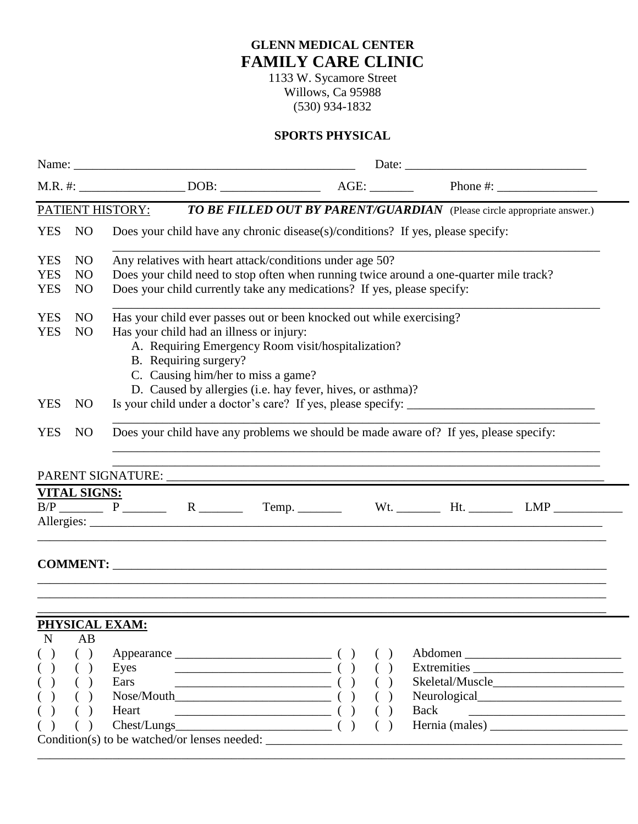## **GLENN MEDICAL CENTER FAMILY CARE CLINIC**

1133 W. Sycamore Street Willows, Ca 95988 (530) 934-1832

## **SPORTS PHYSICAL**

|                                                                                                    |                                                    | Date: <u>Date:</u>                                                                                                                                                                                                                                                                                  |  |                                                                                                                                                                                                                                               |  |                          |      |                                          |  |
|----------------------------------------------------------------------------------------------------|----------------------------------------------------|-----------------------------------------------------------------------------------------------------------------------------------------------------------------------------------------------------------------------------------------------------------------------------------------------------|--|-----------------------------------------------------------------------------------------------------------------------------------------------------------------------------------------------------------------------------------------------|--|--------------------------|------|------------------------------------------|--|
|                                                                                                    |                                                    |                                                                                                                                                                                                                                                                                                     |  |                                                                                                                                                                                                                                               |  |                          |      | Phone #:                                 |  |
| PATIENT HISTORY:<br><b>TO BE FILLED OUT BY PARENT/GUARDIAN</b> (Please circle appropriate answer.) |                                                    |                                                                                                                                                                                                                                                                                                     |  |                                                                                                                                                                                                                                               |  |                          |      |                                          |  |
| <b>YES</b>                                                                                         | N <sub>O</sub>                                     | Does your child have any chronic disease(s)/conditions? If yes, please specify:                                                                                                                                                                                                                     |  |                                                                                                                                                                                                                                               |  |                          |      |                                          |  |
| <b>YES</b><br><b>YES</b><br><b>YES</b>                                                             | N <sub>O</sub><br>N <sub>O</sub><br>N <sub>O</sub> | Any relatives with heart attack/conditions under age 50?<br>Does your child need to stop often when running twice around a one-quarter mile track?<br>Does your child currently take any medications? If yes, please specify:                                                                       |  |                                                                                                                                                                                                                                               |  |                          |      |                                          |  |
| <b>YES</b><br><b>YES</b>                                                                           | N <sub>O</sub><br>N <sub>O</sub>                   | Has your child ever passes out or been knocked out while exercising?<br>Has your child had an illness or injury:<br>A. Requiring Emergency Room visit/hospitalization?<br>B. Requiring surgery?<br>C. Causing him/her to miss a game?<br>D. Caused by allergies (i.e. hay fever, hives, or asthma)? |  |                                                                                                                                                                                                                                               |  |                          |      |                                          |  |
| <b>YES</b>                                                                                         | <b>NO</b>                                          |                                                                                                                                                                                                                                                                                                     |  |                                                                                                                                                                                                                                               |  |                          |      |                                          |  |
| <b>YES</b>                                                                                         | N <sub>O</sub>                                     | Does your child have any problems we should be made aware of? If yes, please specify:                                                                                                                                                                                                               |  |                                                                                                                                                                                                                                               |  |                          |      |                                          |  |
|                                                                                                    |                                                    |                                                                                                                                                                                                                                                                                                     |  |                                                                                                                                                                                                                                               |  |                          |      |                                          |  |
|                                                                                                    | <b>VITAL SIGNS:</b>                                |                                                                                                                                                                                                                                                                                                     |  |                                                                                                                                                                                                                                               |  |                          |      | B/P P R R Temp. Wt. Ht. Hun LMP          |  |
|                                                                                                    |                                                    |                                                                                                                                                                                                                                                                                                     |  |                                                                                                                                                                                                                                               |  |                          |      |                                          |  |
|                                                                                                    |                                                    | PHYSICAL EXAM:                                                                                                                                                                                                                                                                                      |  |                                                                                                                                                                                                                                               |  |                          |      |                                          |  |
| $\mathbf N$<br>$\left( \quad \right)$<br>( )<br>( )<br>( )                                         | AB<br>( )<br>( )<br>$\left($<br>$\left($           | Eyes<br>Ears<br>Heart                                                                                                                                                                                                                                                                               |  | $\text{Appearance}$ ( )<br>$\begin{array}{c} \begin{array}{c} \begin{array}{c} \begin{array}{c} \end{array}\\ \end{array} \end{array} \end{array}$<br>$Nose/Mouth$ ( )<br>$\begin{array}{c} \hline \end{array}$<br>$\text{Chest/Lungs}\n$ ( ) |  | ( )<br>( )<br>( )<br>( ) | Back | Abdomen<br>Extremities<br>Hernia (males) |  |

\_\_\_\_\_\_\_\_\_\_\_\_\_\_\_\_\_\_\_\_\_\_\_\_\_\_\_\_\_\_\_\_\_\_\_\_\_\_\_\_\_\_\_\_\_\_\_\_\_\_\_\_\_\_\_\_\_\_\_\_\_\_\_\_\_\_\_\_\_\_\_\_\_\_\_\_\_\_\_\_\_\_\_\_\_\_\_\_\_\_\_\_\_\_